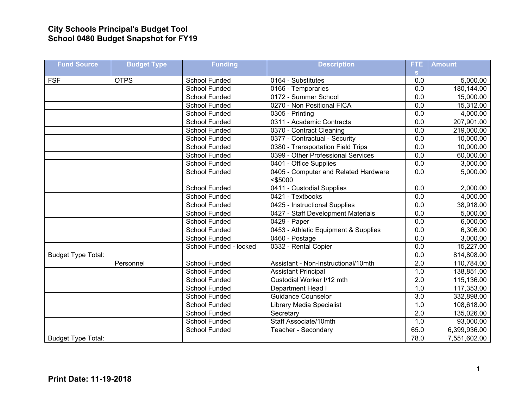## **City Schools Principal's Budget Tool School 0480 Budget Snapshot for FY19**

| <b>Fund Source</b>        | <b>Budget Type</b> | <b>Funding</b>         | <b>Description</b>                                 | FTE.                | <b>Amount</b> |
|---------------------------|--------------------|------------------------|----------------------------------------------------|---------------------|---------------|
| <b>FSF</b>                | <b>OTPS</b>        | School Funded          | 0164 - Substitutes                                 | $\mathbf{s}$<br>0.0 | 5,000.00      |
|                           |                    | School Funded          | 0166 - Temporaries                                 | $\overline{0.0}$    | 180,144.00    |
|                           |                    | School Funded          | 0172 - Summer School                               | 0.0                 | 15,000.00     |
|                           |                    | School Funded          | 0270 - Non Positional FICA                         | 0.0                 | 15,312.00     |
|                           |                    | <b>School Funded</b>   | 0305 - Printing                                    | 0.0                 | 4,000.00      |
|                           |                    | School Funded          | 0311 - Academic Contracts                          | 0.0                 | 207,901.00    |
|                           |                    | School Funded          | 0370 - Contract Cleaning                           | 0.0                 | 219,000.00    |
|                           |                    | School Funded          | 0377 - Contractual - Security                      | 0.0                 | 10,000.00     |
|                           |                    | School Funded          | 0380 - Transportation Field Trips                  | 0.0                 | 10,000.00     |
|                           |                    | School Funded          | 0399 - Other Professional Services                 | 0.0                 | 60,000.00     |
|                           |                    | <b>School Funded</b>   |                                                    | $\overline{0.0}$    | 3,000.00      |
|                           |                    |                        | 0401 - Office Supplies                             |                     |               |
|                           |                    | School Funded          | 0405 - Computer and Related Hardware<br>$<$ \$5000 | 0.0                 | 5,000.00      |
|                           |                    | <b>School Funded</b>   | 0411 - Custodial Supplies                          | 0.0                 | 2,000.00      |
|                           |                    | <b>School Funded</b>   | 0421 - Textbooks                                   | 0.0                 | 4,000.00      |
|                           |                    | School Funded          | 0425 - Instructional Supplies                      | 0.0                 | 38,918.00     |
|                           |                    | School Funded          | 0427 - Staff Development Materials                 | 0.0                 | 5,000.00      |
|                           |                    | <b>School Funded</b>   | 0429 - Paper                                       | $\overline{0.0}$    | 6,000.00      |
|                           |                    | <b>School Funded</b>   | 0453 - Athletic Equipment & Supplies               | $\overline{0.0}$    | 6,306.00      |
|                           |                    | School Funded          | 0460 - Postage                                     | 0.0                 | 3,000.00      |
|                           |                    | School Funded - locked | 0332 - Rental Copier                               | $\overline{0.0}$    | 15,227.00     |
| <b>Budget Type Total:</b> |                    |                        |                                                    | 0.0                 | 814,808.00    |
|                           | Personnel          | <b>School Funded</b>   | Assistant - Non-Instructional/10mth                | 2.0                 | 110,784.00    |
|                           |                    | <b>School Funded</b>   | <b>Assistant Principal</b>                         | 1.0                 | 138,851.00    |
|                           |                    | <b>School Funded</b>   | Custodial Worker I/12 mth                          | 2.0                 | 115,136.00    |
|                           |                    | School Funded          | Department Head I                                  | 1.0                 | 117,353.00    |
|                           |                    | <b>School Funded</b>   | Guidance Counselor                                 | $\overline{3.0}$    | 332,898.00    |
|                           |                    | <b>School Funded</b>   | <b>Library Media Specialist</b>                    | 1.0                 | 108,618.00    |
|                           |                    | <b>School Funded</b>   | Secretary                                          | $\overline{2.0}$    | 135,026.00    |
|                           |                    | School Funded          | Staff Associate/10mth                              | 1.0                 | 93,000.00     |
|                           |                    | <b>School Funded</b>   | Teacher - Secondary                                | 65.0                | 6,399,936.00  |
| <b>Budget Type Total:</b> |                    |                        |                                                    | 78.0                | 7,551,602.00  |